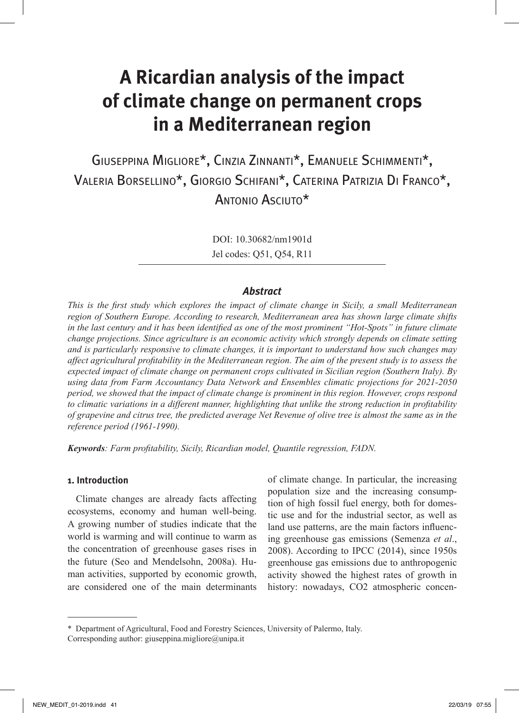# **A Ricardian analysis of the impact of climate change on permanent crops in a Mediterranean region**

Giuseppina Migliore\*, Cinzia Zinnanti\*, Emanuele Schimmenti\*, Valeria Borsellino\*, Giorgio Schifani\*, Caterina Patrizia Di Franco\*, Antonio Asciuto\*

> DOI: 10.30682/nm1901d Jel codes: Q51, Q54, R11

# *Abstract*

*This is the first study which explores the impact of climate change in Sicily, a small Mediterranean region of Southern Europe. According to research, Mediterranean area has shown large climate shifts in the last century and it has been identified as one of the most prominent "Hot-Spots" in future climate change projections. Since agriculture is an economic activity which strongly depends on climate setting and is particularly responsive to climate changes, it is important to understand how such changes may affect agricultural profitability in the Mediterranean region. The aim of the present study is to assess the expected impact of climate change on permanent crops cultivated in Sicilian region (Southern Italy). By using data from Farm Accountancy Data Network and Ensembles climatic projections for 2021-2050 period, we showed that the impact of climate change is prominent in this region. However, crops respond to climatic variations in a different manner, highlighting that unlike the strong reduction in profitability of grapevine and citrus tree, the predicted average Net Revenue of olive tree is almost the same as in the reference period (1961-1990).* 

*Keywords: Farm profitability, Sicily, Ricardian model, Quantile regression, FADN.* 

#### **1. Introduction**

Climate changes are already facts affecting ecosystems, economy and human well-being. A growing number of studies indicate that the world is warming and will continue to warm as the concentration of greenhouse gases rises in the future (Seo and Mendelsohn, 2008a). Human activities, supported by economic growth, are considered one of the main determinants

of climate change. In particular, the increasing population size and the increasing consumption of high fossil fuel energy, both for domestic use and for the industrial sector, as well as land use patterns, are the main factors influencing greenhouse gas emissions (Semenza *et al*., 2008). According to IPCC (2014), since 1950s greenhouse gas emissions due to anthropogenic activity showed the highest rates of growth in history: nowadays, CO2 atmospheric concen-

<sup>\*</sup> Department of Agricultural, Food and Forestry Sciences, University of Palermo, Italy. Corresponding author: giuseppina.migliore@unipa.it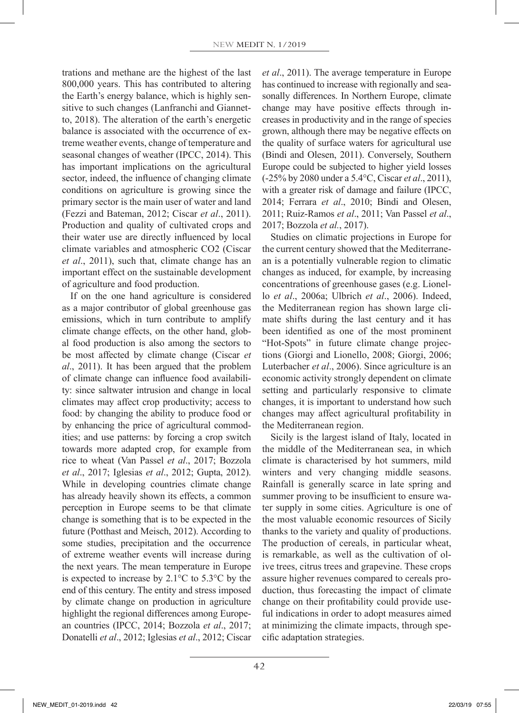trations and methane are the highest of the last 800,000 years. This has contributed to altering the Earth's energy balance, which is highly sensitive to such changes (Lanfranchi and Giannetto, 2018). The alteration of the earth's energetic balance is associated with the occurrence of extreme weather events, change of temperature and seasonal changes of weather (IPCC, 2014). This has important implications on the agricultural sector, indeed, the influence of changing climate conditions on agriculture is growing since the primary sector is the main user of water and land (Fezzi and Bateman, 2012; Ciscar *et al*., 2011). Production and quality of cultivated crops and their water use are directly influenced by local climate variables and atmospheric CO2 (Ciscar *et al*., 2011), such that, climate change has an important effect on the sustainable development of agriculture and food production.

If on the one hand agriculture is considered as a major contributor of global greenhouse gas emissions, which in turn contribute to amplify climate change effects, on the other hand, global food production is also among the sectors to be most affected by climate change (Ciscar *et al*., 2011). It has been argued that the problem of climate change can influence food availability: since saltwater intrusion and change in local climates may affect crop productivity; access to food: by changing the ability to produce food or by enhancing the price of agricultural commodities; and use patterns: by forcing a crop switch towards more adapted crop, for example from rice to wheat (Van Passel *et al*., 2017; Bozzola *et al*., 2017; Iglesias *et al*., 2012; Gupta, 2012). While in developing countries climate change has already heavily shown its effects, a common perception in Europe seems to be that climate change is something that is to be expected in the future (Potthast and Meisch, 2012). According to some studies, precipitation and the occurrence of extreme weather events will increase during the next years. The mean temperature in Europe is expected to increase by 2.1°C to 5.3°C by the end of this century. The entity and stress imposed by climate change on production in agriculture highlight the regional differences among European countries (IPCC, 2014; Bozzola *et al*., 2017; Donatelli *et al*., 2012; Iglesias *et al*., 2012; Ciscar *et al*., 2011). The average temperature in Europe has continued to increase with regionally and seasonally differences. In Northern Europe, climate change may have positive effects through increases in productivity and in the range of species grown, although there may be negative effects on the quality of surface waters for agricultural use (Bindi and Olesen, 2011). Conversely, Southern Europe could be subjected to higher yield losses (-25% by 2080 under a 5.4°C, Ciscar *et al*., 2011), with a greater risk of damage and failure (IPCC, 2014; Ferrara *et al*., 2010; Bindi and Olesen, 2011; Ruiz-Ramos *et al*., 2011; Van Passel *et al*., 2017; Bozzola *et al.*, 2017).

Studies on climatic projections in Europe for the current century showed that the Mediterranean is a potentially vulnerable region to climatic changes as induced, for example, by increasing concentrations of greenhouse gases (e.g. Lionello *et al*., 2006a; Ulbrich *et al*., 2006). Indeed, the Mediterranean region has shown large climate shifts during the last century and it has been identified as one of the most prominent "Hot-Spots" in future climate change projections (Giorgi and Lionello, 2008; Giorgi, 2006; Luterbacher *et al*., 2006). Since agriculture is an economic activity strongly dependent on climate setting and particularly responsive to climate changes, it is important to understand how such changes may affect agricultural profitability in the Mediterranean region.

Sicily is the largest island of Italy, located in the middle of the Mediterranean sea, in which climate is characterised by hot summers, mild winters and very changing middle seasons. Rainfall is generally scarce in late spring and summer proving to be insufficient to ensure water supply in some cities. Agriculture is one of the most valuable economic resources of Sicily thanks to the variety and quality of productions. The production of cereals, in particular wheat, is remarkable, as well as the cultivation of olive trees, citrus trees and grapevine. These crops assure higher revenues compared to cereals production, thus forecasting the impact of climate change on their profitability could provide useful indications in order to adopt measures aimed at minimizing the climate impacts, through specific adaptation strategies.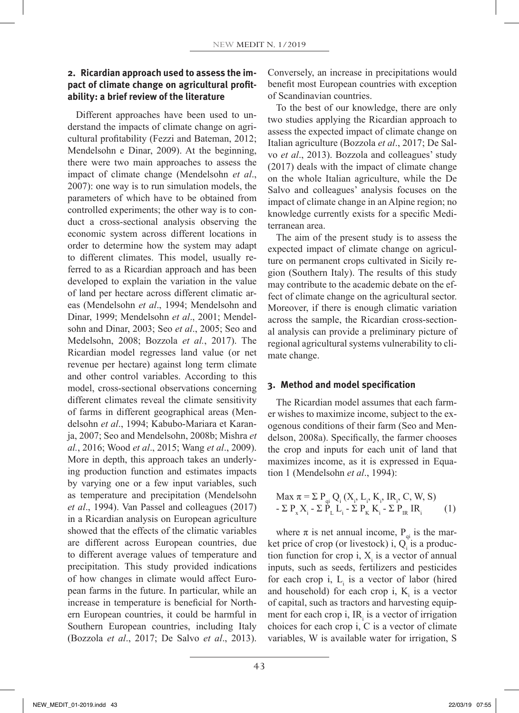# **2. Ricardian approach used to assess the impact of climate change on agricultural profitability: a brief review of the literature**

Different approaches have been used to understand the impacts of climate change on agricultural profitability (Fezzi and Bateman, 2012; Mendelsohn e Dinar, 2009). At the beginning, there were two main approaches to assess the impact of climate change (Mendelsohn *et al*., 2007): one way is to run simulation models, the parameters of which have to be obtained from controlled experiments; the other way is to conduct a cross-sectional analysis observing the economic system across different locations in order to determine how the system may adapt to different climates. This model, usually referred to as a Ricardian approach and has been developed to explain the variation in the value of land per hectare across different climatic areas (Mendelsohn *et al*., 1994; Mendelsohn and Dinar, 1999; Mendelsohn *et al*., 2001; Mendelsohn and Dinar, 2003; Seo *et al*., 2005; Seo and Medelsohn, 2008; Bozzola *et al.*, 2017). The Ricardian model regresses land value (or net revenue per hectare) against long term climate and other control variables. According to this model, cross-sectional observations concerning different climates reveal the climate sensitivity of farms in different geographical areas (Mendelsohn *et al*., 1994; Kabubo-Mariara et Karanja, 2007; Seo and Mendelsohn, 2008b; Mishra *et al.*, 2016; Wood *et al*., 2015; Wang *et al*., 2009). More in depth, this approach takes an underlying production function and estimates impacts by varying one or a few input variables, such as temperature and precipitation (Mendelsohn *et al*., 1994). Van Passel and colleagues (2017) in a Ricardian analysis on European agriculture showed that the effects of the climatic variables are different across European countries, due to different average values of temperature and precipitation. This study provided indications of how changes in climate would affect European farms in the future. In particular, while an increase in temperature is beneficial for Northern European countries, it could be harmful in Southern European countries, including Italy (Bozzola *et al*., 2017; De Salvo *et al*., 2013).

Conversely, an increase in precipitations would benefit most European countries with exception of Scandinavian countries.

To the best of our knowledge, there are only two studies applying the Ricardian approach to assess the expected impact of climate change on Italian agriculture (Bozzola *et al*., 2017; De Salvo *et al*., 2013). Bozzola and colleagues' study (2017) deals with the impact of climate change on the whole Italian agriculture, while the De Salvo and colleagues' analysis focuses on the impact of climate change in an Alpine region; no knowledge currently exists for a specific Mediterranean area.

The aim of the present study is to assess the expected impact of climate change on agriculture on permanent crops cultivated in Sicily region (Southern Italy). The results of this study may contribute to the academic debate on the effect of climate change on the agricultural sector. Moreover, if there is enough climatic variation across the sample, the Ricardian cross-sectional analysis can provide a preliminary picture of regional agricultural systems vulnerability to climate change.

## **3. Method and model specification**

The Ricardian model assumes that each farmer wishes to maximize income, subject to the exogenous conditions of their farm (Seo and Mendelson, 2008a). Specifically, the farmer chooses the crop and inputs for each unit of land that maximizes income, as it is expressed in Equation 1 (Mendelsohn *et al*., 1994):

Max π = Σ Pqi Qi (Xi , Li , Ki , IRi , C, W, S) - Σ Px Xi - Σ PL Li - Σ PK Ki - Σ PIR IRi (1)

where  $\pi$  is net annual income,  $P_{qi}$  is the market price of crop (or livestock) i,  $Q_i$  is a production function for crop i,  $X_i$  is a vector of annual inputs, such as seeds, fertilizers and pesticides for each crop i,  $L_i$  is a vector of labor (hired and household) for each crop i,  $K_i$  is a vector of capital, such as tractors and harvesting equipment for each crop i,  $IR<sub>i</sub>$  is a vector of irrigation choices for each crop i, C is a vector of climate variables, W is available water for irrigation, S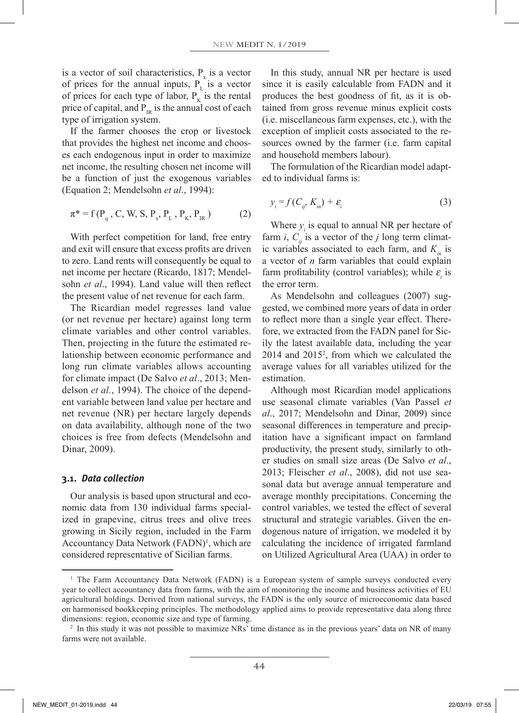is a vector of soil characteristics,  $P_x$  is a vector of prices for the annual inputs,  $P_{\text{L}}$  is a vector of prices for each type of labor,  $P_K$  is the rental price of capital, and  $P_{IR}$  is the annual cost of each type of irrigation system.

If the farmer chooses the crop or livestock that provides the highest net income and chooses each endogenous input in order to maximize net income, the resulting chosen net income will be a function of just the exogenous variables (Equation 2; Mendelsohn *et al*., 1994):

$$
\pi^* = f(P_q, C, W, S, P_x, P_L, P_K, P_{IR})
$$
 (2)

With perfect competition for land, free entry and exit will ensure that excess profits are driven to zero. Land rents will consequently be equal to net income per hectare (Ricardo, 1817; Mendelsohn *et al*., 1994). Land value will then reflect the present value of net revenue for each farm.

The Ricardian model regresses land value (or net revenue per hectare) against long term climate variables and other control variables. Then, projecting in the future the estimated relationship between economic performance and long run climate variables allows accounting for climate impact (De Salvo *et al*., 2013; Mendelson *et al.*, 1994). The choice of the dependent variable between land value per hectare and net revenue (NR) per hectare largely depends on data availability, although none of the two choices is free from defects (Mendelsohn and Dinar, 2009).

#### **3.1.** *Data collection*

Our analysis is based upon structural and economic data from 130 individual farms specialized in grapevine, citrus trees and olive trees growing in Sicily region, included in the Farm Accountancy Data Network (FADN)<sup>1</sup>, which are considered representative of Sicilian farms.

In this study, annual NR per hectare is used since it is easily calculable from FADN and it produces the best goodness of fit, as it is obtained from gross revenue minus explicit costs (i.e. miscellaneous farm expenses, etc.), with the exception of implicit costs associated to the resources owned by the farmer (i.e. farm capital and household members labour).

The formulation of the Ricardian model adapted to individual farms is:

$$
y_i = f(C_{ij'} K_{in}) + \varepsilon_i \tag{3}
$$

Where  $y_i$  is equal to annual NR per hectare of farm *i*,  $C_{ii}$  is a vector of the *j* long term climatic variables associated to each farm, and  $K_{in}$  is a vector of *n* farm variables that could explain farm profitability (control variables); while  $\varepsilon$ <sub>*i*</sub> is the error term.

As Mendelsohn and colleagues (2007) suggested, we combined more years of data in order to reflect more than a single year effect. Therefore, we extracted from the FADN panel for Sicily the latest available data, including the year 2014 and 20152 , from which we calculated the average values for all variables utilized for the estimation.

Although most Ricardian model applications use seasonal climate variables (Van Passel *et al*., 2017; Mendelsohn and Dinar, 2009) since seasonal differences in temperature and precipitation have a significant impact on farmland productivity, the present study, similarly to other studies on small size areas (De Salvo *et al*., 2013; Fleischer *et al*., 2008), did not use seasonal data but average annual temperature and average monthly precipitations. Concerning the control variables, we tested the effect of several structural and strategic variables. Given the endogenous nature of irrigation, we modeled it by calculating the incidence of irrigated farmland on Utilized Agricultural Area (UAA) in order to

<sup>&</sup>lt;sup>1</sup> The Farm Accountancy Data Network (FADN) is a European system of sample surveys conducted every year to collect accountancy data from farms, with the aim of monitoring the income and business activities of EU agricultural holdings. Derived from national surveys, the FADN is the only source of microeconomic data based on harmonised bookkeeping principles. The methodology applied aims to provide representative data along three dimensions: region, economic size and type of farming.

<sup>&</sup>lt;sup>2</sup> In this study it was not possible to maximize NRs' time distance as in the previous years' data on NR of many farms were not available.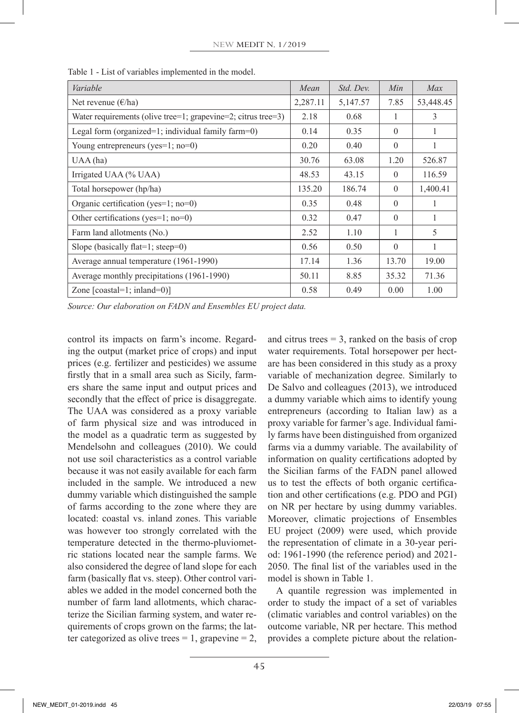| Variable                                                      | Mean     | Std. Dev. | Min      | Max           |
|---------------------------------------------------------------|----------|-----------|----------|---------------|
| Net revenue $(\epsilon$ /ha)                                  | 2,287.11 | 5,147.57  | 7.85     | 53,448.45     |
| Water requirements (olive tree=1; grapevine=2; citrus tree=3) | 2.18     | 0.68      |          | $\mathcal{E}$ |
| Legal form (organized=1; individual family farm=0)            | 0.14     | 0.35      | $\theta$ |               |
| Young entrepreneurs (yes= $1$ ; no=0)                         | 0.20     | 0.40      | $\Omega$ | 1             |
| UAA(ha)                                                       | 30.76    | 63.08     | 1.20     | 526.87        |
| Irrigated UAA (% UAA)                                         | 48.53    | 43.15     | $\Omega$ | 116.59        |
| Total horsepower (hp/ha)                                      | 135.20   | 186.74    | $\theta$ | 1,400.41      |
| Organic certification (yes= $1$ ; no=0)                       | 0.35     | 0.48      | $\Omega$ | 1             |
| Other certifications (yes=1; no=0)                            | 0.32     | 0.47      | $\theta$ | 1             |
| Farm land allotments (No.)                                    | 2.52     | 1.10      | 1        | 5             |
| Slope (basically flat=1; steep=0)                             | 0.56     | 0.50      | $\theta$ | 1             |
| Average annual temperature (1961-1990)                        | 17.14    | 1.36      | 13.70    | 19.00         |
| Average monthly precipitations (1961-1990)                    |          | 8.85      | 35.32    | 71.36         |
| Zone $[coastal=1; inland=0]$                                  | 0.58     | 0.49      | 0.00     | 1.00          |

Table 1 - List of variables implemented in the model.

*Source: Our elaboration on FADN and Ensembles EU project data.*

control its impacts on farm's income. Regarding the output (market price of crops) and input prices (e.g. fertilizer and pesticides) we assume firstly that in a small area such as Sicily, farmers share the same input and output prices and secondly that the effect of price is disaggregate. The UAA was considered as a proxy variable of farm physical size and was introduced in the model as a quadratic term as suggested by Mendelsohn and colleagues (2010). We could not use soil characteristics as a control variable because it was not easily available for each farm included in the sample. We introduced a new dummy variable which distinguished the sample of farms according to the zone where they are located: coastal vs. inland zones. This variable was however too strongly correlated with the temperature detected in the thermo-pluviometric stations located near the sample farms. We also considered the degree of land slope for each farm (basically flat vs. steep). Other control variables we added in the model concerned both the number of farm land allotments, which characterize the Sicilian farming system, and water requirements of crops grown on the farms; the latter categorized as olive trees  $= 1$ , grapevine  $= 2$ ,

and citrus trees  $= 3$ , ranked on the basis of crop water requirements. Total horsepower per hectare has been considered in this study as a proxy variable of mechanization degree. Similarly to De Salvo and colleagues (2013), we introduced a dummy variable which aims to identify young entrepreneurs (according to Italian law) as a proxy variable for farmer's age. Individual family farms have been distinguished from organized farms via a dummy variable. The availability of information on quality certifications adopted by the Sicilian farms of the FADN panel allowed us to test the effects of both organic certification and other certifications (e.g. PDO and PGI) on NR per hectare by using dummy variables. Moreover, climatic projections of Ensembles EU project (2009) were used, which provide the representation of climate in a 30-year period: 1961-1990 (the reference period) and 2021- 2050. The final list of the variables used in the model is shown in Table 1.

A quantile regression was implemented in order to study the impact of a set of variables (climatic variables and control variables) on the outcome variable, NR per hectare. This method provides a complete picture about the relation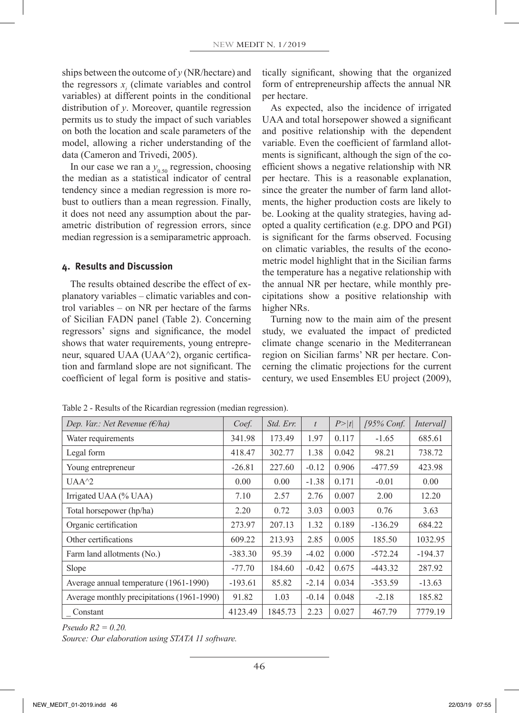ships between the outcome of *y* (NR/hectare) and the regressors  $x_i$  (climate variables and control variables) at different points in the conditional distribution of *y*. Moreover, quantile regression permits us to study the impact of such variables on both the location and scale parameters of the model, allowing a richer understanding of the data (Cameron and Trivedi, 2005).

In our case we ran a  $y_{0.50}$  regression, choosing the median as a statistical indicator of central tendency since a median regression is more robust to outliers than a mean regression. Finally, it does not need any assumption about the parametric distribution of regression errors, since median regression is a semiparametric approach.

#### **4. Results and Discussion**

The results obtained describe the effect of explanatory variables – climatic variables and control variables – on NR per hectare of the farms of Sicilian FADN panel (Table 2). Concerning regressors' signs and significance, the model shows that water requirements, young entrepreneur, squared UAA (UAA^2), organic certification and farmland slope are not significant. The coefficient of legal form is positive and statistically significant, showing that the organized form of entrepreneurship affects the annual NR per hectare.

As expected, also the incidence of irrigated UAA and total horsepower showed a significant and positive relationship with the dependent variable. Even the coefficient of farmland allotments is significant, although the sign of the coefficient shows a negative relationship with NR per hectare. This is a reasonable explanation, since the greater the number of farm land allotments, the higher production costs are likely to be. Looking at the quality strategies, having adopted a quality certification (e.g. DPO and PGI) is significant for the farms observed. Focusing on climatic variables, the results of the econometric model highlight that in the Sicilian farms the temperature has a negative relationship with the annual NR per hectare, while monthly precipitations show a positive relationship with higher NRs.

Turning now to the main aim of the present study, we evaluated the impact of predicted climate change scenario in the Mediterranean region on Sicilian farms' NR per hectare. Concerning the climatic projections for the current century, we used Ensembles EU project (2009),

| Dep. Var.: Net Revenue ( $\epsilon$ /ha)   | Coef.     | Std. Err. | $\bar{t}$ | P >  t | $195\%$ Conf. | Interval] |
|--------------------------------------------|-----------|-----------|-----------|--------|---------------|-----------|
| Water requirements                         | 341.98    | 173.49    | 1.97      | 0.117  | $-1.65$       | 685.61    |
| Legal form                                 | 418.47    | 302.77    | 1.38      | 0.042  | 98.21         | 738.72    |
| Young entrepreneur                         | $-26.81$  | 227.60    | $-0.12$   | 0.906  | $-477.59$     | 423.98    |
| $UAA^2$                                    | 0.00      | 0.00      | $-1.38$   | 0.171  | $-0.01$       | 0.00      |
| Irrigated UAA (% UAA)                      | 7.10      | 2.57      | 2.76      | 0.007  | 2.00          | 12.20     |
| Total horsepower (hp/ha)                   | 2.20      | 0.72      | 3.03      | 0.003  | 0.76          | 3.63      |
| Organic certification                      | 273.97    | 207.13    | 1.32      | 0.189  | $-136.29$     | 684.22    |
| Other certifications                       | 609.22    | 213.93    | 2.85      | 0.005  | 185.50        | 1032.95   |
| Farm land allotments (No.)                 | $-383.30$ | 95.39     | $-4.02$   | 0.000  | $-572.24$     | $-194.37$ |
| Slope                                      | $-77.70$  | 184.60    | $-0.42$   | 0.675  | $-443.32$     | 287.92    |
| Average annual temperature (1961-1990)     | $-193.61$ | 85.82     | $-2.14$   | 0.034  | $-353.59$     | $-13.63$  |
| Average monthly precipitations (1961-1990) | 91.82     | 1.03      | $-0.14$   | 0.048  | $-2.18$       | 185.82    |
| Constant                                   | 4123.49   | 1845.73   | 2.23      | 0.027  | 467.79        | 7779.19   |

Table 2 - Results of the Ricardian regression (median regression).

*Pseudo R2 = 0.20.*

*Source: Our elaboration using STATA 11 software.*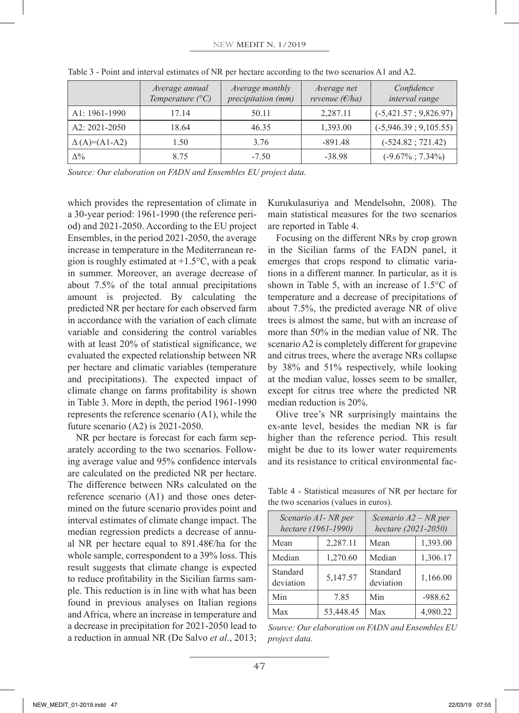|                     | Average annual<br>Temperature $(^{\circ}C)$ | Average monthly<br>precipitation (mm) | Average net<br>revenue $(E/ha)$ | Confidence<br>interval range |
|---------------------|---------------------------------------------|---------------------------------------|---------------------------------|------------------------------|
| A1: 1961-1990       | 17.14                                       | 50.11                                 | 2,287.11                        | $(-5,421.57; 9,826.97)$      |
| A2: 2021-2050       | 18.64                                       | 46.35                                 | 1,393.00                        | $(-5,946.39; 9,105.55)$      |
| $\Delta(A)=(A1-A2)$ | 1.50                                        | 3.76                                  | $-891.48$                       | $(-524.82; 721.42)$          |
| $\Delta\%$          | 8.75                                        | $-7.50$                               | $-38.98$                        | $(-9.67\% \div 7.34\%)$      |

Table 3 - Point and interval estimates of NR per hectare according to the two scenarios A1 and A2.

*Source: Our elaboration on FADN and Ensembles EU project data.*

which provides the representation of climate in a 30-year period: 1961-1990 (the reference period) and 2021-2050. According to the EU project Ensembles, in the period 2021-2050, the average increase in temperature in the Mediterranean region is roughly estimated at  $+1.5$ °C, with a peak in summer. Moreover, an average decrease of about 7.5% of the total annual precipitations amount is projected. By calculating the predicted NR per hectare for each observed farm in accordance with the variation of each climate variable and considering the control variables with at least 20% of statistical significance, we evaluated the expected relationship between NR per hectare and climatic variables (temperature and precipitations). The expected impact of climate change on farms profitability is shown in Table 3. More in depth, the period 1961-1990 represents the reference scenario (A1), while the future scenario (A2) is 2021-2050.

NR per hectare is forecast for each farm separately according to the two scenarios. Following average value and 95% confidence intervals are calculated on the predicted NR per hectare. The difference between NRs calculated on the reference scenario (A1) and those ones determined on the future scenario provides point and interval estimates of climate change impact. The median regression predicts a decrease of annual NR per hectare equal to 891.48€/ha for the whole sample, correspondent to a 39% loss. This result suggests that climate change is expected to reduce profitability in the Sicilian farms sample. This reduction is in line with what has been found in previous analyses on Italian regions and Africa, where an increase in temperature and a decrease in precipitation for 2021-2050 lead to a reduction in annual NR (De Salvo *et al*., 2013;

Kurukulasuriya and Mendelsohn, 2008). The main statistical measures for the two scenarios are reported in Table 4.

Focusing on the different NRs by crop grown in the Sicilian farms of the FADN panel, it emerges that crops respond to climatic variations in a different manner. In particular, as it is shown in Table 5, with an increase of 1.5°C of temperature and a decrease of precipitations of about 7.5%, the predicted average NR of olive trees is almost the same, but with an increase of more than 50% in the median value of NR. The scenario A2 is completely different for grapevine and citrus trees, where the average NRs collapse by 38% and 51% respectively, while looking at the median value, losses seem to be smaller, except for citrus tree where the predicted NR median reduction is 20%.

Olive tree's NR surprisingly maintains the ex-ante level, besides the median NR is far higher than the reference period. This result might be due to its lower water requirements and its resistance to critical environmental fac-

Table 4 - Statistical measures of NR per hectare for the two scenarios (values in euros).

| Scenario A1- NR per<br>hectare (1961-1990) |           | Scenario $A2 - NR$ per<br>hectare (2021-2050) |           |  |
|--------------------------------------------|-----------|-----------------------------------------------|-----------|--|
| Mean                                       | 2,287.11  | Mean                                          | 1,393.00  |  |
| Median                                     | 1,270.60  | Median                                        | 1,306.17  |  |
| Standard<br>deviation                      | 5,147.57  | Standard<br>deviation                         | 1,166.00  |  |
| Min                                        | 7.85      | Min                                           | $-988.62$ |  |
| Max                                        | 53.448.45 | Max                                           | 4,980.22  |  |

*Source: Our elaboration on FADN and Ensembles EU project data.*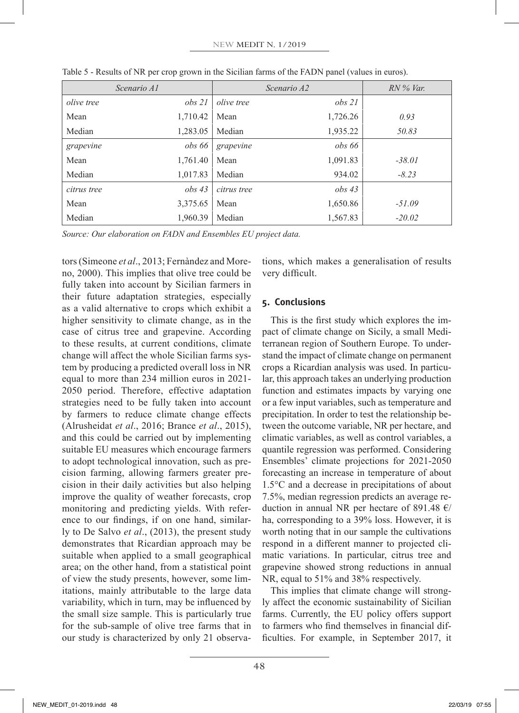| Scenario A1       |          |                   | Scenario A2 | $RN\%$ Var. |
|-------------------|----------|-------------------|-------------|-------------|
| <i>olive tree</i> | obs 21   | <i>olive tree</i> | obs 21      |             |
| Mean              | 1,710.42 | Mean              | 1,726.26    | 0.93        |
| Median            | 1,283.05 | Median            | 1,935.22    | 50.83       |
| grapevine         | obs 66   | grapevine         | obs 66      |             |
| Mean              | 1,761.40 | Mean              | 1,091.83    | $-38.01$    |
| Median            | 1,017.83 | Median            | 934.02      | $-8.23$     |
| citrus tree       | obs43    | citrus tree       | obs43       |             |
| Mean              | 3,375.65 | Mean              | 1,650.86    | $-51.09$    |
| Median            | 1,960.39 | Median            | 1,567.83    | $-20.02$    |

Table 5 - Results of NR per crop grown in the Sicilian farms of the FADN panel (values in euros).

*Source: Our elaboration on FADN and Ensembles EU project data.*

tors (Simeone *et al*., 2013; Fernàndez and Moreno, 2000). This implies that olive tree could be fully taken into account by Sicilian farmers in their future adaptation strategies, especially as a valid alternative to crops which exhibit a higher sensitivity to climate change, as in the case of citrus tree and grapevine. According to these results, at current conditions, climate change will affect the whole Sicilian farms system by producing a predicted overall loss in NR equal to more than 234 million euros in 2021- 2050 period. Therefore, effective adaptation strategies need to be fully taken into account by farmers to reduce climate change effects (Alrusheidat *et al*., 2016; Brance *et al*., 2015), and this could be carried out by implementing suitable EU measures which encourage farmers to adopt technological innovation, such as precision farming, allowing farmers greater precision in their daily activities but also helping improve the quality of weather forecasts, crop monitoring and predicting yields. With reference to our findings, if on one hand, similarly to De Salvo *et al*., (2013), the present study demonstrates that Ricardian approach may be suitable when applied to a small geographical area; on the other hand, from a statistical point of view the study presents, however, some limitations, mainly attributable to the large data variability, which in turn, may be influenced by the small size sample. This is particularly true for the sub-sample of olive tree farms that in our study is characterized by only 21 observations, which makes a generalisation of results very difficult.

# **5. Conclusions**

This is the first study which explores the impact of climate change on Sicily, a small Mediterranean region of Southern Europe. To understand the impact of climate change on permanent crops a Ricardian analysis was used. In particular, this approach takes an underlying production function and estimates impacts by varying one or a few input variables, such as temperature and precipitation. In order to test the relationship between the outcome variable, NR per hectare, and climatic variables, as well as control variables, a quantile regression was performed. Considering Ensembles' climate projections for 2021-2050 forecasting an increase in temperature of about 1.5°C and a decrease in precipitations of about 7.5%, median regression predicts an average reduction in annual NR per hectare of 891.48  $\epsilon$ / ha, corresponding to a 39% loss. However, it is worth noting that in our sample the cultivations respond in a different manner to projected climatic variations. In particular, citrus tree and grapevine showed strong reductions in annual NR, equal to 51% and 38% respectively.

This implies that climate change will strongly affect the economic sustainability of Sicilian farms. Currently, the EU policy offers support to farmers who find themselves in financial difficulties. For example, in September 2017, it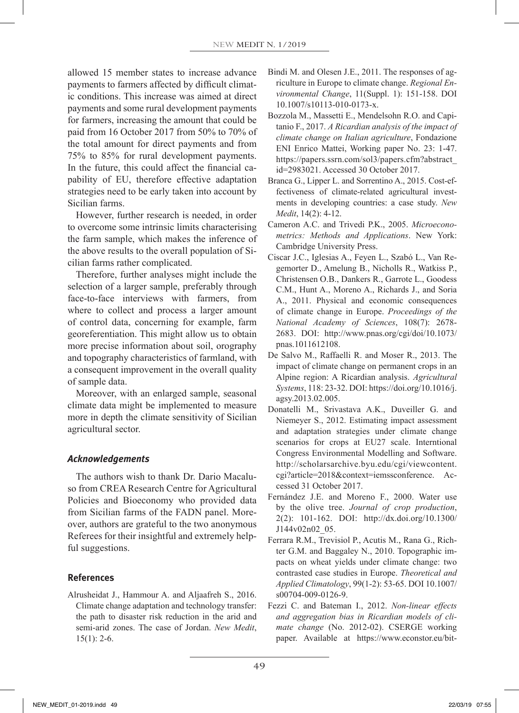allowed 15 member states to increase advance payments to farmers affected by difficult climatic conditions. This increase was aimed at direct payments and some rural development payments for farmers, increasing the amount that could be paid from 16 October 2017 from 50% to 70% of the total amount for direct payments and from 75% to 85% for rural development payments. In the future, this could affect the financial capability of EU, therefore effective adaptation strategies need to be early taken into account by Sicilian farms.

However, further research is needed, in order to overcome some intrinsic limits characterising the farm sample, which makes the inference of the above results to the overall population of Sicilian farms rather complicated.

Therefore, further analyses might include the selection of a larger sample, preferably through face-to-face interviews with farmers, from where to collect and process a larger amount of control data, concerning for example, farm georeferentiation. This might allow us to obtain more precise information about soil, orography and topography characteristics of farmland, with a consequent improvement in the overall quality of sample data.

Moreover, with an enlarged sample, seasonal climate data might be implemented to measure more in depth the climate sensitivity of Sicilian agricultural sector.

## *Acknowledgements*

The authors wish to thank Dr. Dario Macaluso from CREA Research Centre for Agricultural Policies and Bioeconomy who provided data from Sicilian farms of the FADN panel. Moreover, authors are grateful to the two anonymous Referees for their insightful and extremely helpful suggestions.

## **References**

Alrusheidat J., Hammour A. and Aljaafreh S., 2016. Climate change adaptation and technology transfer: the path to disaster risk reduction in the arid and semi-arid zones. The case of Jordan. *New Medit*,  $15(1)$ : 2-6.

- Bindi M. and Olesen J.E., 2011. The responses of agriculture in Europe to climate change. *Regional Environmental Change*, 11(Suppl. 1): 151-158. DOI 10.1007/s10113-010-0173-x.
- Bozzola M., Massetti E., Mendelsohn R.O. and Capitanio F., 2017. *A Ricardian analysis of the impact of climate change on Italian agriculture*, Fondazione ENI Enrico Mattei, Working paper No. 23: 1-47. https://papers.ssrn.com/sol3/papers.cfm?abstract\_ id=2983021. Accessed 30 October 2017.
- Branca G., Lipper L. and Sorrentino A., 2015. Cost-effectiveness of climate-related agricultural investments in developing countries: a case study. *New Medit*, 14(2): 4-12.
- Cameron A.C. and Trivedi P.K., 2005. *Microeconometrics: Methods and Applications*. New York: Cambridge University Press.
- Ciscar J.C., Iglesias A., Feyen L., Szabó L., Van Regemorter D., Amelung B., Nicholls R., Watkiss P., Christensen O.B., Dankers R., Garrote L., Goodess C.M., Hunt A., Moreno A., Richards J., and Soria A., 2011. Physical and economic consequences of climate change in Europe. *Proceedings of the National Academy of Sciences*, 108(7): 2678- 2683. DOI: http://www.pnas.org/cgi/doi/10.1073/ pnas.1011612108.
- De Salvo M., Raffaelli R. and Moser R., 2013. The impact of climate change on permanent crops in an Alpine region: A Ricardian analysis. *Agricultural Systems*, 118: 23-32. DOI: https://doi.org/10.1016/j. agsy.2013.02.005.
- Donatelli M., Srivastava A.K., Duveiller G. and Niemeyer S., 2012. Estimating impact assessment and adaptation strategies under climate change scenarios for crops at EU27 scale. Interntional Congress Environmental Modelling and Software. http://scholarsarchive.byu.edu/cgi/viewcontent. cgi?article=2018&context=iemssconference. Accessed 31 October 2017.
- Fernández J.E. and Moreno F., 2000. Water use by the olive tree. *Journal of crop production*, 2(2): 101-162. DOI: http://dx.doi.org/10.1300/ J144v02n02\_05.
- Ferrara R.M., Trevisiol P., Acutis M., Rana G., Richter G.M. and Baggaley N., 2010. Topographic impacts on wheat yields under climate change: two contrasted case studies in Europe. *Theoretical and Applied Climatology*, 99(1-2): 53-65. DOI 10.1007/ s00704-009-0126-9.
- Fezzi C. and Bateman I., 2012. *Non-linear effects and aggregation bias in Ricardian models of climate change* (No. 2012-02). CSERGE working paper. Available at https://www.econstor.eu/bit-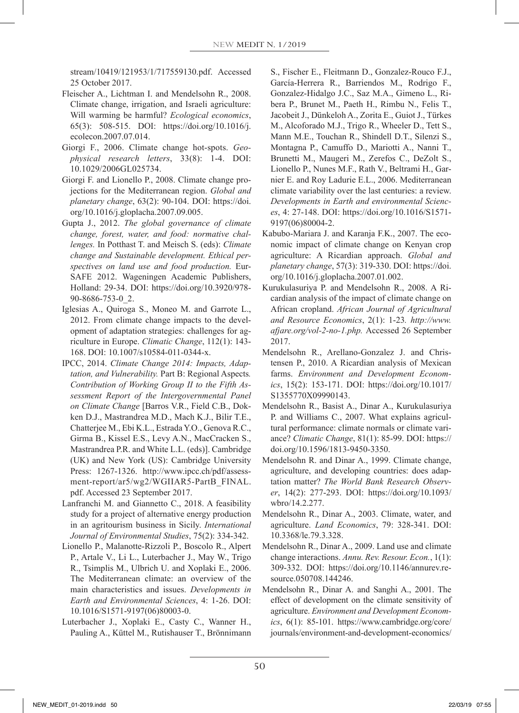stream/10419/121953/1/717559130.pdf. Accessed 25 October 2017.

- Fleischer A., Lichtman I. and Mendelsohn R., 2008. Climate change, irrigation, and Israeli agriculture: Will warming be harmful? *Ecological economics*, 65(3): 508-515. DOI: https://doi.org/10.1016/j. ecolecon.2007.07.014.
- Giorgi F., 2006. Climate change hot-spots. *Geophysical research letters*, 33(8): 1-4. DOI: 10.1029/2006GL025734.
- Giorgi F. and Lionello P., 2008. Climate change projections for the Mediterranean region. *Global and planetary change*, 63(2): 90-104. DOI: https://doi. org/10.1016/j.gloplacha.2007.09.005.
- Gupta J., 2012. *The global governance of climate change, forest, water, and food: normative challenges.* In Potthast T. and Meisch S. (eds): *Climate change and Sustainable development. Ethical perspectives on land use and food production.* Eur-SAFE 2012. Wageningen Academic Publishers, Holland: 29-34. DOI: https://doi.org/10.3920/978- 90-8686-753-0\_2.
- Iglesias A., Quiroga S., Moneo M. and Garrote L., 2012. From climate change impacts to the development of adaptation strategies: challenges for agriculture in Europe. *Climatic Change*, 112(1): 143- 168. DOI: 10.1007/s10584-011-0344-x.
- IPCC, 2014. *Climate Change 2014: Impacts, Adaptation, and Vulnerability.* Part B: Regional Aspects*. Contribution of Working Group II to the Fifth Assessment Report of the Intergovernmental Panel on Climate Change* [Barros V.R., Field C.B., Dokken D.J., Mastrandrea M.D., Mach K.J., Bilir T.E., Chatterjee M., Ebi K.L., Estrada Y.O., Genova R.C., Girma B., Kissel E.S., Levy A.N., MacCracken S., Mastrandrea P.R. and White L.L. (eds)]. Cambridge (UK) and New York (US): Cambridge University Press: 1267-1326. http://www.ipcc.ch/pdf/assessment-report/ar5/wg2/WGIIAR5-PartB\_FINAL. pdf. Accessed 23 September 2017.
- Lanfranchi M. and Giannetto C., 2018. A feasibility study for a project of alternative energy production in an agritourism business in Sicily. *International Journal of Environmental Studies*, 75(2): 334-342.
- Lionello P., Malanotte-Rizzoli P., Boscolo R., Alpert P., Artale V., Li L., Luterbacher J., May W., Trigo R., Tsimplis M., Ulbrich U. and Xoplaki E., 2006. The Mediterranean climate: an overview of the main characteristics and issues. *Developments in Earth and Environmental Sciences*, 4: 1-26. DOI: 10.1016/S1571-9197(06)80003-0.
- Luterbacher J., Xoplaki E., Casty C., Wanner H., Pauling A., Küttel M., Rutishauser T., Brönnimann

S., Fischer E., Fleitmann D., Gonzalez-Rouco F.J., García-Herrera R., Barriendos M., Rodrigo F., Gonzalez-Hidalgo J.C., Saz M.A., Gimeno L., Ribera P., Brunet M., Paeth H., Rimbu N., Felis T., Jacobeit J., Dünkeloh A., Zorita E., Guiot J., Türkes M., Alcoforado M.J., Trigo R., Wheeler D., Tett S., Mann M.E., Touchan R., Shindell D.T., Silenzi S., Montagna P., Camuffo D., Mariotti A., Nanni T., Brunetti M., Maugeri M., Zerefos C., DeZolt S., Lionello P., Nunes M.F., Rath V., Beltrami H., Garnier E. and Roy Ladurie E.L., 2006. Mediterranean climate variability over the last centuries: a review. *Developments in Earth and environmental Sciences*, 4: 27-148. DOI: https://doi.org/10.1016/S1571- 9197(06)80004-2.

- Kabubo-Mariara J. and Karanja F.K., 2007. The economic impact of climate change on Kenyan crop agriculture: A Ricardian approach. *Global and planetary change*, 57(3): 319-330. DOI: https://doi. org/10.1016/j.gloplacha.2007.01.002.
- Kurukulasuriya P. and Mendelsohn R., 2008. A Ricardian analysis of the impact of climate change on African cropland. *African Journal of Agricultural and Resource Economics*, 2(1): 1-23*. http://www. afjare.org/vol-2-no-1.php.* Accessed 26 September 2017.
- Mendelsohn R., Arellano-Gonzalez J. and Christensen P., 2010. A Ricardian analysis of Mexican farms. *Environment and Development Economics*, 15(2): 153-171. DOI: https://doi.org/10.1017/ S1355770X09990143.
- Mendelsohn R., Basist A., Dinar A., Kurukulasuriya P. and Williams C., 2007. What explains agricultural performance: climate normals or climate variance? *Climatic Change*, 81(1): 85-99. DOI: https:// doi.org/10.1596/1813-9450-3350.
- Mendelsohn R. and Dinar A., 1999. Climate change, agriculture, and developing countries: does adaptation matter? *The World Bank Research Observer*, 14(2): 277-293. DOI: https://doi.org/10.1093/ wbro/14.2.277.
- Mendelsohn R., Dinar A., 2003. Climate, water, and agriculture. *Land Economics*, 79: 328-341. DOI: 10.3368/le.79.3.328.
- Mendelsohn R., Dinar A., 2009. Land use and climate change interactions. *Annu. Rev. Resour. Econ.*, 1(1): 309-332. DOI: https://doi.org/10.1146/annurev.resource.050708.144246.
- Mendelsohn R., Dinar A. and Sanghi A., 2001. The effect of development on the climate sensitivity of agriculture. *Environment and Development Economics*, 6(1): 85-101. https://www.cambridge.org/core/ journals/environment-and-development-economics/